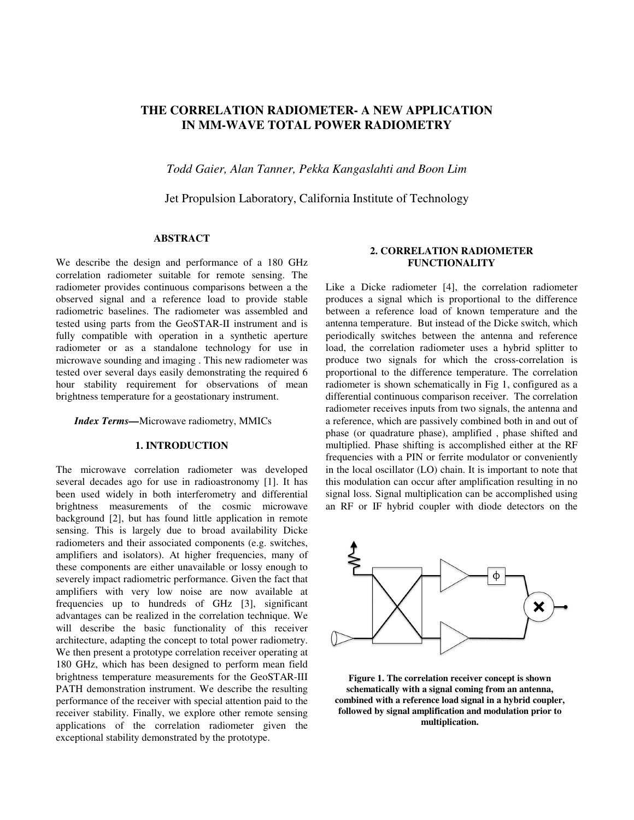# **THE CORRELATION RADIOMETER- A NEW APPLICATION IN MM-WAVE TOTAL POWER RADIOMETRY**

*Todd Gaier, Alan Tanner, Pekka Kangaslahti and Boon Lim* 

Jet Propulsion Laboratory, California Institute of Technology

# **ABSTRACT**

We describe the design and performance of a 180 GHz correlation radiometer suitable for remote sensing. The radiometer provides continuous comparisons between a the observed signal and a reference load to provide stable radiometric baselines. The radiometer was assembled and tested using parts from the GeoSTAR-II instrument and is fully compatible with operation in a synthetic aperture radiometer or as a standalone technology for use in microwave sounding and imaging . This new radiometer was tested over several days easily demonstrating the required 6 hour stability requirement for observations of mean brightness temperature for a geostationary instrument.

*Index Terms—*Microwave radiometry, MMICs

## **1. INTRODUCTION**

The microwave correlation radiometer was developed several decades ago for use in radioastronomy [1]. It has been used widely in both interferometry and differential brightness measurements of the cosmic microwave background [2], but has found little application in remote sensing. This is largely due to broad availability Dicke radiometers and their associated components (e.g. switches, amplifiers and isolators). At higher frequencies, many of these components are either unavailable or lossy enough to severely impact radiometric performance. Given the fact that amplifiers with very low noise are now available at frequencies up to hundreds of GHz [3], significant advantages can be realized in the correlation technique. We will describe the basic functionality of this receiver architecture, adapting the concept to total power radiometry. We then present a prototype correlation receiver operating at 180 GHz, which has been designed to perform mean field brightness temperature measurements for the GeoSTAR-III PATH demonstration instrument. We describe the resulting performance of the receiver with special attention paid to the receiver stability. Finally, we explore other remote sensing applications of the correlation radiometer given the exceptional stability demonstrated by the prototype.

# **2. CORRELATION RADIOMETER FUNCTIONALITY**

Like a Dicke radiometer [4], the correlation radiometer produces a signal which is proportional to the difference between a reference load of known temperature and the antenna temperature. But instead of the Dicke switch, which periodically switches between the antenna and reference load, the correlation radiometer uses a hybrid splitter to produce two signals for which the cross-correlation is proportional to the difference temperature. The correlation radiometer is shown schematically in Fig 1, configured as a differential continuous comparison receiver. The correlation radiometer receives inputs from two signals, the antenna and a reference, which are passively combined both in and out of phase (or quadrature phase), amplified , phase shifted and multiplied. Phase shifting is accomplished either at the RF frequencies with a PIN or ferrite modulator or conveniently in the local oscillator (LO) chain. It is important to note that this modulation can occur after amplification resulting in no signal loss. Signal multiplication can be accomplished using an RF or IF hybrid coupler with diode detectors on the



**Figure 1. The correlation receiver concept is shown schematically with a signal coming from an antenna, combined with a reference load signal in a hybrid coupler, followed by signal amplification and modulation prior to multiplication.**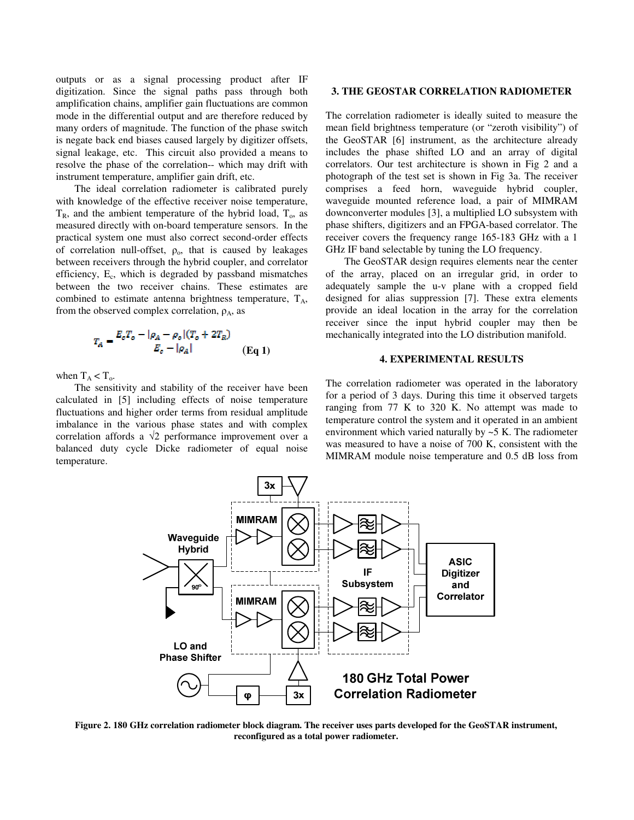outputs or as a signal processing product after IF digitization. Since the signal paths pass through both amplification chains, amplifier gain fluctuations are common mode in the differential output and are therefore reduced by many orders of magnitude. The function of the phase switch is negate back end biases caused largely by digitizer offsets, signal leakage, etc. This circuit also provided a means to resolve the phase of the correlation-- which may drift with instrument temperature, amplifier gain drift, etc.

 The ideal correlation radiometer is calibrated purely with knowledge of the effective receiver noise temperature,  $T_R$ , and the ambient temperature of the hybrid load,  $T_o$ , as measured directly with on-board temperature sensors. In the practical system one must also correct second-order effects of correlation null-offset,  $\rho_0$ , that is caused by leakages between receivers through the hybrid coupler, and correlator efficiency, E<sub>c</sub>, which is degraded by passband mismatches between the two receiver chains. These estimates are combined to estimate antenna brightness temperature,  $T_A$ , from the observed complex correlation,  $\rho_A$ , as

$$
T_A = \frac{E_c T_o - |\rho_A - \rho_o|(T_o + 2T_R)}{E_c - |\rho_A|} \tag{Eq 1}
$$

when  $T_A < T_o$ .

 The sensitivity and stability of the receiver have been calculated in [5] including effects of noise temperature fluctuations and higher order terms from residual amplitude imbalance in the various phase states and with complex correlation affords a  $\sqrt{2}$  performance improvement over a balanced duty cycle Dicke radiometer of equal noise temperature.

## **3. THE GEOSTAR CORRELATION RADIOMETER**

The correlation radiometer is ideally suited to measure the mean field brightness temperature (or "zeroth visibility") of the GeoSTAR [6] instrument, as the architecture already includes the phase shifted LO and an array of digital correlators. Our test architecture is shown in Fig 2 and a photograph of the test set is shown in Fig 3a. The receiver comprises a feed horn, waveguide hybrid coupler, waveguide mounted reference load, a pair of MIMRAM downconverter modules [3], a multiplied LO subsystem with phase shifters, digitizers and an FPGA-based correlator. The receiver covers the frequency range 165-183 GHz with a 1 GHz IF band selectable by tuning the LO frequency.

 The GeoSTAR design requires elements near the center of the array, placed on an irregular grid, in order to adequately sample the u-v plane with a cropped field designed for alias suppression [7]. These extra elements provide an ideal location in the array for the correlation receiver since the input hybrid coupler may then be mechanically integrated into the LO distribution manifold.

# **4. EXPERIMENTAL RESULTS**

The correlation radiometer was operated in the laboratory for a period of 3 days. During this time it observed targets ranging from 77 K to 320 K. No attempt was made to temperature control the system and it operated in an ambient environment which varied naturally by ~5 K. The radiometer was measured to have a noise of 700 K, consistent with the MIMRAM module noise temperature and 0.5 dB loss from



**Figure 2. 180 GHz correlation radiometer block diagram. The receiver uses parts developed for the GeoSTAR instrument, reconfigured as a total power radiometer.**